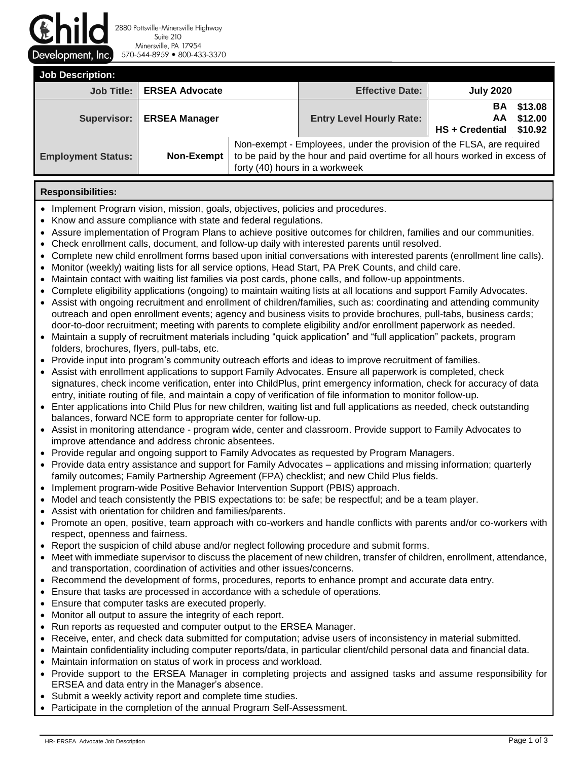Jevelopment, Inc

2880 Pottsville-Minersville Highway Suite 210 Minersville, PA 17954 570-544-8959 800-433-3370

| <b>Job Description:</b>   |                       |                                                                                                                                                                                       |                                 |                             |                               |  |  |  |  |
|---------------------------|-----------------------|---------------------------------------------------------------------------------------------------------------------------------------------------------------------------------------|---------------------------------|-----------------------------|-------------------------------|--|--|--|--|
| <b>Job Title:</b>         | <b>ERSEA Advocate</b> |                                                                                                                                                                                       | <b>Effective Date:</b>          | <b>July 2020</b>            |                               |  |  |  |  |
| Supervisor:               | <b>ERSEA Manager</b>  |                                                                                                                                                                                       | <b>Entry Level Hourly Rate:</b> | BА<br>AA<br>HS + Credential | \$13.08<br>\$12.00<br>\$10.92 |  |  |  |  |
| <b>Employment Status:</b> | Non-Exempt            | Non-exempt - Employees, under the provision of the FLSA, are required<br>to be paid by the hour and paid overtime for all hours worked in excess of<br>forty (40) hours in a workweek |                                 |                             |                               |  |  |  |  |

## **Responsibilities:**

- Implement Program vision, mission, goals, objectives, policies and procedures.
- Know and assure compliance with state and federal regulations.
- Assure implementation of Program Plans to achieve positive outcomes for children, families and our communities.
- Check enrollment calls, document, and follow-up daily with interested parents until resolved.
- Complete new child enrollment forms based upon initial conversations with interested parents (enrollment line calls).
- Monitor (weekly) waiting lists for all service options, Head Start, PA PreK Counts, and child care.
- Maintain contact with waiting list families via post cards, phone calls, and follow-up appointments.
- Complete eligibility applications (ongoing) to maintain waiting lists at all locations and support Family Advocates.
- Assist with ongoing recruitment and enrollment of children/families, such as: coordinating and attending community outreach and open enrollment events; agency and business visits to provide brochures, pull-tabs, business cards; door-to-door recruitment; meeting with parents to complete eligibility and/or enrollment paperwork as needed.
- Maintain a supply of recruitment materials including "quick application" and "full application" packets, program folders, brochures, flyers, pull-tabs, etc.
- Provide input into program's community outreach efforts and ideas to improve recruitment of families.
- Assist with enrollment applications to support Family Advocates. Ensure all paperwork is completed, check signatures, check income verification, enter into ChildPlus, print emergency information, check for accuracy of data entry, initiate routing of file, and maintain a copy of verification of file information to monitor follow-up.
- Enter applications into Child Plus for new children, waiting list and full applications as needed, check outstanding balances, forward NCE form to appropriate center for follow-up.
- Assist in monitoring attendance program wide, center and classroom. Provide support to Family Advocates to improve attendance and address chronic absentees.
- Provide regular and ongoing support to Family Advocates as requested by Program Managers.
- Provide data entry assistance and support for Family Advocates applications and missing information; quarterly family outcomes; Family Partnership Agreement (FPA) checklist; and new Child Plus fields.
- Implement program-wide Positive Behavior Intervention Support (PBIS) approach.
- Model and teach consistently the PBIS expectations to: be safe; be respectful; and be a team player.
- Assist with orientation for children and families/parents.
- Promote an open, positive, team approach with co-workers and handle conflicts with parents and/or co-workers with respect, openness and fairness.
- Report the suspicion of child abuse and/or neglect following procedure and submit forms.
- Meet with immediate supervisor to discuss the placement of new children, transfer of children, enrollment, attendance, and transportation, coordination of activities and other issues/concerns.
- Recommend the development of forms, procedures, reports to enhance prompt and accurate data entry.
- Ensure that tasks are processed in accordance with a schedule of operations.
- Ensure that computer tasks are executed properly.
- Monitor all output to assure the integrity of each report.
- Run reports as requested and computer output to the ERSEA Manager.
- Receive, enter, and check data submitted for computation; advise users of inconsistency in material submitted.
- Maintain confidentiality including computer reports/data, in particular client/child personal data and financial data.
- Maintain information on status of work in process and workload.
- Provide support to the ERSEA Manager in completing projects and assigned tasks and assume responsibility for ERSEA and data entry in the Manager's absence.
- Submit a weekly activity report and complete time studies.
- Participate in the completion of the annual Program Self-Assessment.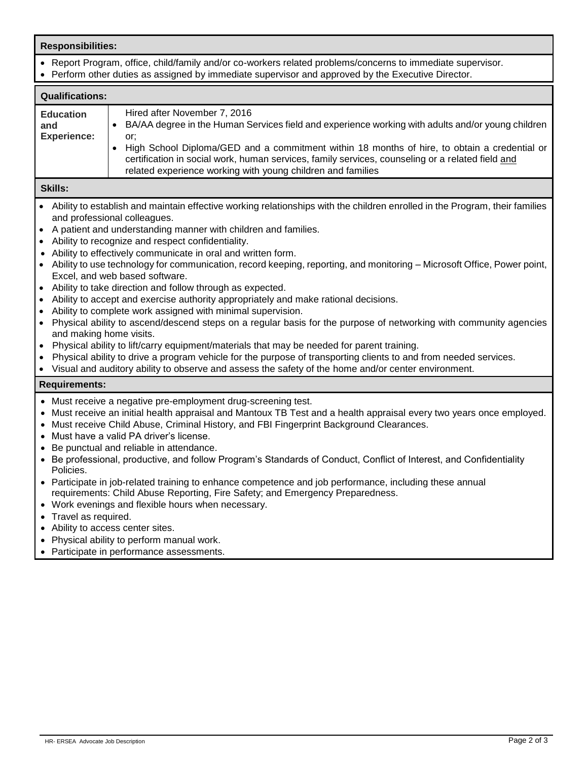| <b>Responsibilities:</b>                                                                                                                                                                                                                                                                                                                                                                                                                                                                                                                                                                                                                                                                                                                                                                                                                                                                                                                                                                                                                                                                                                                                                                                                                                 |                                                                                                                                                                                                                                                                                                                                                                                                                                                          |  |  |  |  |  |
|----------------------------------------------------------------------------------------------------------------------------------------------------------------------------------------------------------------------------------------------------------------------------------------------------------------------------------------------------------------------------------------------------------------------------------------------------------------------------------------------------------------------------------------------------------------------------------------------------------------------------------------------------------------------------------------------------------------------------------------------------------------------------------------------------------------------------------------------------------------------------------------------------------------------------------------------------------------------------------------------------------------------------------------------------------------------------------------------------------------------------------------------------------------------------------------------------------------------------------------------------------|----------------------------------------------------------------------------------------------------------------------------------------------------------------------------------------------------------------------------------------------------------------------------------------------------------------------------------------------------------------------------------------------------------------------------------------------------------|--|--|--|--|--|
| • Report Program, office, child/family and/or co-workers related problems/concerns to immediate supervisor.<br>• Perform other duties as assigned by immediate supervisor and approved by the Executive Director.                                                                                                                                                                                                                                                                                                                                                                                                                                                                                                                                                                                                                                                                                                                                                                                                                                                                                                                                                                                                                                        |                                                                                                                                                                                                                                                                                                                                                                                                                                                          |  |  |  |  |  |
| <b>Qualifications:</b>                                                                                                                                                                                                                                                                                                                                                                                                                                                                                                                                                                                                                                                                                                                                                                                                                                                                                                                                                                                                                                                                                                                                                                                                                                   |                                                                                                                                                                                                                                                                                                                                                                                                                                                          |  |  |  |  |  |
| <b>Education</b><br>and<br><b>Experience:</b>                                                                                                                                                                                                                                                                                                                                                                                                                                                                                                                                                                                                                                                                                                                                                                                                                                                                                                                                                                                                                                                                                                                                                                                                            | Hired after November 7, 2016<br>BA/AA degree in the Human Services field and experience working with adults and/or young children<br>or;<br>High School Diploma/GED and a commitment within 18 months of hire, to obtain a credential or<br>certification in social work, human services, family services, counseling or a related field and<br>related experience working with young children and families                                              |  |  |  |  |  |
| <b>Skills:</b>                                                                                                                                                                                                                                                                                                                                                                                                                                                                                                                                                                                                                                                                                                                                                                                                                                                                                                                                                                                                                                                                                                                                                                                                                                           |                                                                                                                                                                                                                                                                                                                                                                                                                                                          |  |  |  |  |  |
| • Ability to establish and maintain effective working relationships with the children enrolled in the Program, their families<br>and professional colleagues.<br>A patient and understanding manner with children and families.<br>$\bullet$<br>Ability to recognize and respect confidentiality.<br>Ability to effectively communicate in oral and written form.<br>• Ability to use technology for communication, record keeping, reporting, and monitoring – Microsoft Office, Power point,<br>Excel, and web based software.<br>• Ability to take direction and follow through as expected.<br>Ability to accept and exercise authority appropriately and make rational decisions.<br>Ability to complete work assigned with minimal supervision.<br>Physical ability to ascend/descend steps on a regular basis for the purpose of networking with community agencies<br>$\bullet$<br>and making home visits.<br>Physical ability to lift/carry equipment/materials that may be needed for parent training.<br>$\bullet$<br>Physical ability to drive a program vehicle for the purpose of transporting clients to and from needed services.<br>Visual and auditory ability to observe and assess the safety of the home and/or center environment. |                                                                                                                                                                                                                                                                                                                                                                                                                                                          |  |  |  |  |  |
| <b>Requirements:</b>                                                                                                                                                                                                                                                                                                                                                                                                                                                                                                                                                                                                                                                                                                                                                                                                                                                                                                                                                                                                                                                                                                                                                                                                                                     |                                                                                                                                                                                                                                                                                                                                                                                                                                                          |  |  |  |  |  |
| • Must receive a negative pre-employment drug-screening test.<br>Must receive an initial health appraisal and Mantoux TB Test and a health appraisal every two years once employed.<br>• Must receive Child Abuse, Criminal History, and FBI Fingerprint Background Clearances.<br>• Must have a valid PA driver's license.<br>• Be punctual and reliable in attendance.                                                                                                                                                                                                                                                                                                                                                                                                                                                                                                                                                                                                                                                                                                                                                                                                                                                                                 |                                                                                                                                                                                                                                                                                                                                                                                                                                                          |  |  |  |  |  |
| Policies.<br>Travel as required.                                                                                                                                                                                                                                                                                                                                                                                                                                                                                                                                                                                                                                                                                                                                                                                                                                                                                                                                                                                                                                                                                                                                                                                                                         | • Be professional, productive, and follow Program's Standards of Conduct, Conflict of Interest, and Confidentiality<br>• Participate in job-related training to enhance competence and job performance, including these annual<br>requirements: Child Abuse Reporting, Fire Safety; and Emergency Preparedness.<br>• Work evenings and flexible hours when necessary.<br>• Ability to access center sites.<br>• Physical ability to perform manual work. |  |  |  |  |  |

• Participate in performance assessments.